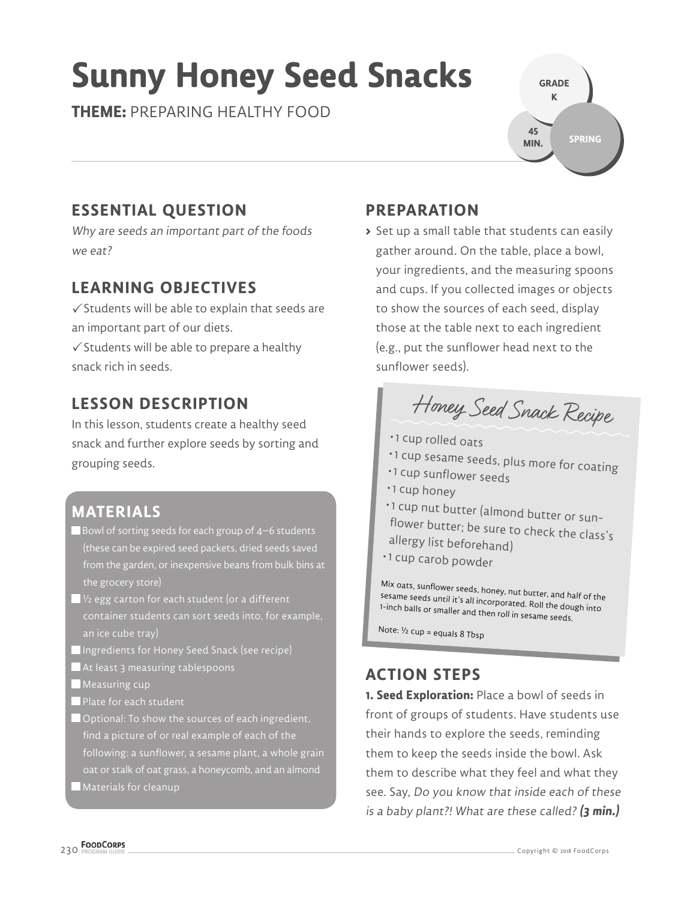# **Sunny Honey Seed Snacks**

**THEME:** PREPARING HEALTHY FOOD

**GRADE K SPRING 45 MIN.**

# **ESSENTIAL QUESTION**

Why are seeds an important part of the foods we eat?

#### **LEARNING OBJECTIVES**

 $\checkmark$  Students will be able to explain that seeds are an important part of our diets.

 $\checkmark$  Students will be able to prepare a healthy snack rich in seeds.

## **LESSON DESCRIPTION**

In this lesson, students create a healthy seed snack and further explore seeds by sorting and grouping seeds.

### **MATERIALS**

- Bowl of sorting seeds for each group of 4–6 students (these can be expired seed packets, dried seeds saved from the garden, or inexpensive beans from bulk bins at the grocery store)
- $\blacksquare$  1⁄2 egg carton for each student (or a different container students can sort seeds into, for example, an ice cube tray)
- Ingredients for Honey Seed Snack (see recipe)
- At least 3 measuring tablespoons
- **Measuring cup**
- Plate for each student
- Optional: To show the sources of each ingredient, find a picture of or real example of each of the following: a sunflower, a sesame plant, a whole grain oat or stalk of oat grass, a honeycomb, and an almond Materials for cleanup

### **PREPARATION**

**>** Set up a small table that students can easily gather around. On the table, place a bowl, your ingredients, and the measuring spoons and cups. If you collected images or objects to show the sources of each seed, display those at the table next to each ingredient (e.g., put the sunflower head next to the sunflower seeds).



- 1 cup rolled oats
- 1 cup sesame seeds, plus more for coating
- 1 cup sunflower seeds
- 1 cup honey
- 1 cup nut butter (almond butter or sunflower butter; be sure to check the class's allergy list beforehand)
- 1 cup carob powder

Mix oats, sunflower seeds, honey, nut butter, and half of the<br>sesame seeds until it's all incorporated. Roll the dough into<br>1-inch balls or smaller and then roll in sesame seeds.

Note:  $1/2$  cup = equals 8 Tbsp

#### **ACTION STEPS**

**1. Seed Exploration:** Place a bowl of seeds in front of groups of students. Have students use their hands to explore the seeds, reminding them to keep the seeds inside the bowl. Ask them to describe what they feel and what they see. Say, Do you know that inside each of these is a baby plant?! What are these called? **(3 min.)**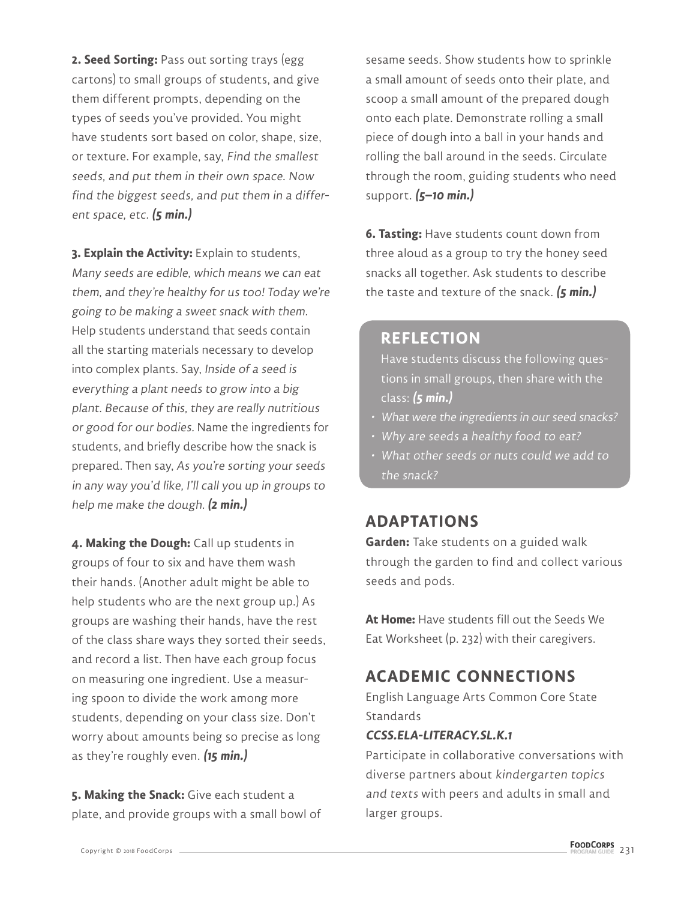**2. Seed Sorting:** Pass out sorting trays (egg cartons) to small groups of students, and give them different prompts, depending on the types of seeds you've provided. You might have students sort based on color, shape, size, or texture. For example, say, Find the smallest seeds, and put them in their own space. Now find the biggest seeds, and put them in a different space, etc. **(5 min.)**

**3. Explain the Activity:** Explain to students, Many seeds are edible, which means we can eat them, and they're healthy for us too! Today we're going to be making a sweet snack with them. Help students understand that seeds contain all the starting materials necessary to develop into complex plants. Say, Inside of a seed is everything a plant needs to grow into a big plant. Because of this, they are really nutritious or good for our bodies. Name the ingredients for students, and briefly describe how the snack is prepared. Then say, As you're sorting your seeds in any way you'd like, I'll call you up in groups to help me make the dough. **(2 min.)**

**4. Making the Dough:** Call up students in groups of four to six and have them wash their hands. (Another adult might be able to help students who are the next group up.) As groups are washing their hands, have the rest of the class share ways they sorted their seeds, and record a list. Then have each group focus on measuring one ingredient. Use a measuring spoon to divide the work among more students, depending on your class size. Don't worry about amounts being so precise as long as they're roughly even. **(15 min.)**

**5. Making the Snack:** Give each student a plate, and provide groups with a small bowl of

sesame seeds. Show students how to sprinkle a small amount of seeds onto their plate, and scoop a small amount of the prepared dough onto each plate. Demonstrate rolling a small piece of dough into a ball in your hands and rolling the ball around in the seeds. Circulate through the room, guiding students who need support. **(5–10 min.)**

**6. Tasting:** Have students count down from three aloud as a group to try the honey seed snacks all together. Ask students to describe the taste and texture of the snack. **(5 min.)**

#### **REFLECTION**

Have students discuss the following questions in small groups, then share with the class: **(5 min.)**

- What were the ingredients in our seed snacks?
- Why are seeds a healthy food to eat?
- What other seeds or nuts could we add to the snack?

#### **ADAPTATIONS**

**Garden:** Take students on a guided walk through the garden to find and collect various seeds and pods.

**At Home:** Have students fill out the Seeds We Eat Worksheet (p. 232) with their caregivers.

#### **ACADEMIC CONNECTIONS**

English Language Arts Common Core State **Standards** 

#### **CCSS.ELA-LITERACY.SL.K.1**

Participate in collaborative conversations with diverse partners about kindergarten topics and texts with peers and adults in small and larger groups.